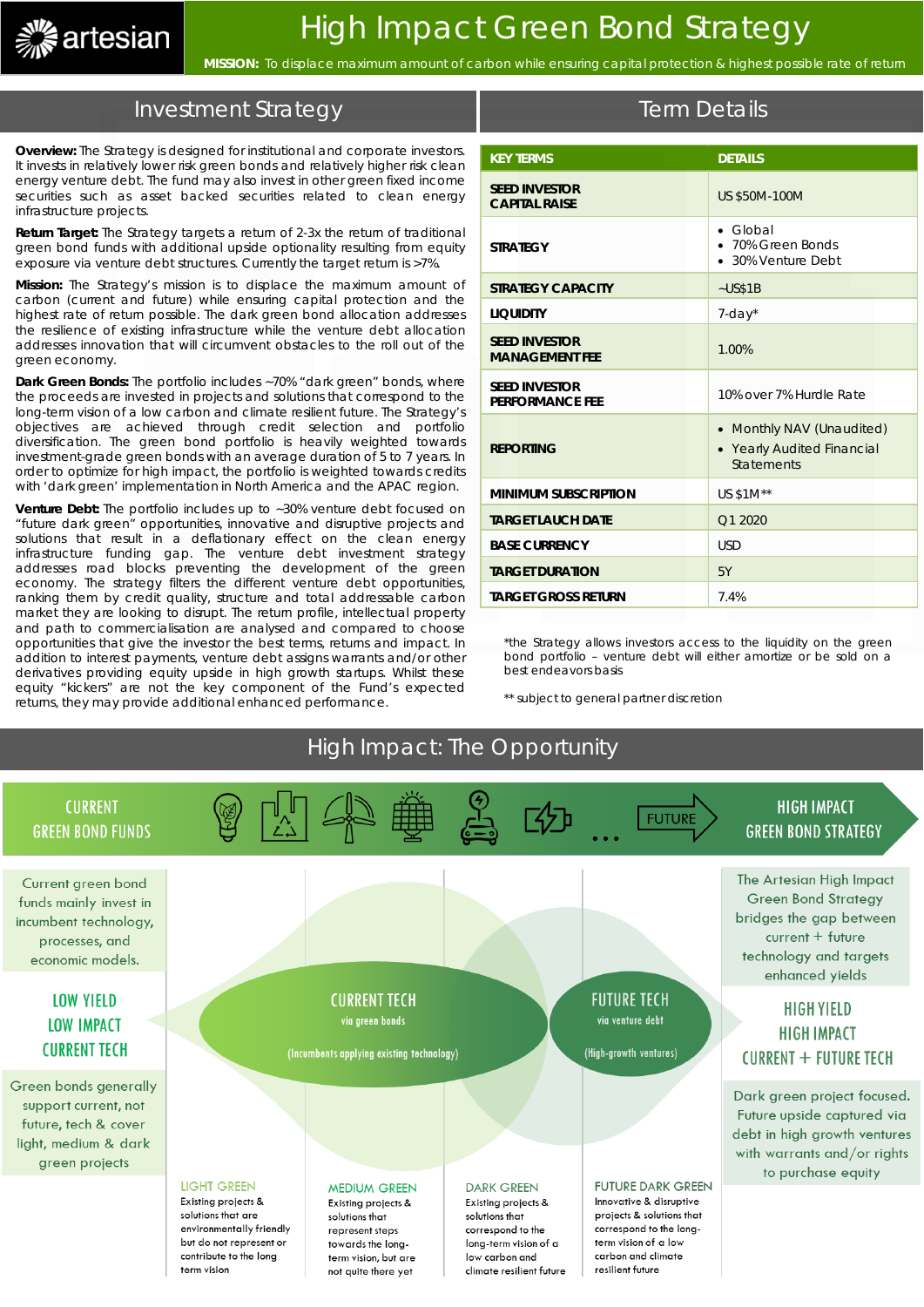

**MISSION:** To displace maximum amount of carbon while ensuring capital protection & highest possible rate of return

## Investment Strategy

**Overview:** The Strategy is designed for institutional and corporate investors. It invests in relatively lower risk green bonds and relatively higher risk clean energy venture debt. The fund may also invest in other green fixed income securities such as asset backed securities related to clean energy infrastructure projects.

**Return Target:** The Strategy targets a return of 2-3x the return of traditional green bond funds with additional upside optionality resulting from equity exposure via venture debt structures. Currently the target return is >7%.

**Mission:** The Strategy's mission is to displace the maximum amount of carbon (current and future) while ensuring capital protection and the highest rate of return possible. The dark green bond allocation addresses the resilience of existing infrastructure while the venture debt allocation addresses innovation that will circumvent obstacles to the roll out of the green economy.

**Dark Green Bonds:** The portfolio includes ~70% "dark green" bonds, where the proceeds are invested in projects and solutions that correspond to the long-term vision of a low carbon and climate resilient future. The Strategy's objectives are achieved through credit selection and portfolio diversification. The green bond portfolio is heavily weighted towards investment-grade green bonds with an average duration of 5 to 7 years. In order to optimize for high impact, the portfolio is weighted towards credits with 'dark green' implementation in North America and the APAC region.

**Venture Debt:** The portfolio includes up to ~30% venture debt focused on "future dark green" opportunities, innovative and disruptive projects and solutions that result in a deflationary effect on the clean energy infrastructure funding gap. The venture debt investment strategy addresses road blocks preventing the development of the green economy. The strategy filters the different venture debt opportunities, ranking them by credit quality, structure and total addressable carbon market they are looking to disrupt. The return profile, intellectual property and path to commercialisation are analysed and compared to choose opportunities that give the investor the best terms, returns and impact. In addition to interest payments, venture debt assigns warrants and/or other derivatives providing equity upside in high growth startups. Whilst these equity "kickers" are not the key component of the Fund's expected returns, they may provide additional enhanced performance.

| <b>KEY TERMS</b>                               | <b>DETAILS</b>                                                               |
|------------------------------------------------|------------------------------------------------------------------------------|
| <b>SEED INVESTOR</b><br><b>CAPITAL RAISE</b>   | <b>US \$50M-100M</b>                                                         |
| <b>STRATEGY</b>                                | $\bullet$ Global<br>• 70% Green Bonds<br>• 30% Venture Debt                  |
| <b>STRATEGY CAPACITY</b>                       | $-USS1B$                                                                     |
| <b>LIQUIDITY</b>                               | $7$ -day $*$                                                                 |
| <b>SEED INVESTOR</b><br><b>MANAGEMENT FEE</b>  | 1.00%                                                                        |
| <b>SEED INVESTOR</b><br><b>PERFORMANCE FEE</b> | 10% over 7% Hurdle Rate                                                      |
| <b>REPORTING</b>                               | • Monthly NAV (Unaudited)<br>• Yearly Audited Financial<br><b>Statements</b> |
| <b>MINIMUM SUBSCRIPTION</b>                    | US \$1M**                                                                    |
| <b>TARGET LAUCH DATE</b>                       | Q1 2020                                                                      |
| <b>BASE CURRENCY</b>                           | <b>USD</b>                                                                   |
| <b>TARGET DURATION</b>                         | 5Y                                                                           |
| <b>TARGET GROSS RETURN</b>                     | 7.4%                                                                         |

Term Details

\*the Strategy allows investors access to the liquidity on the green bond portfolio – venture debt will either amortize or be sold on a best endeavors basis

\*\* subject to general partner discretion